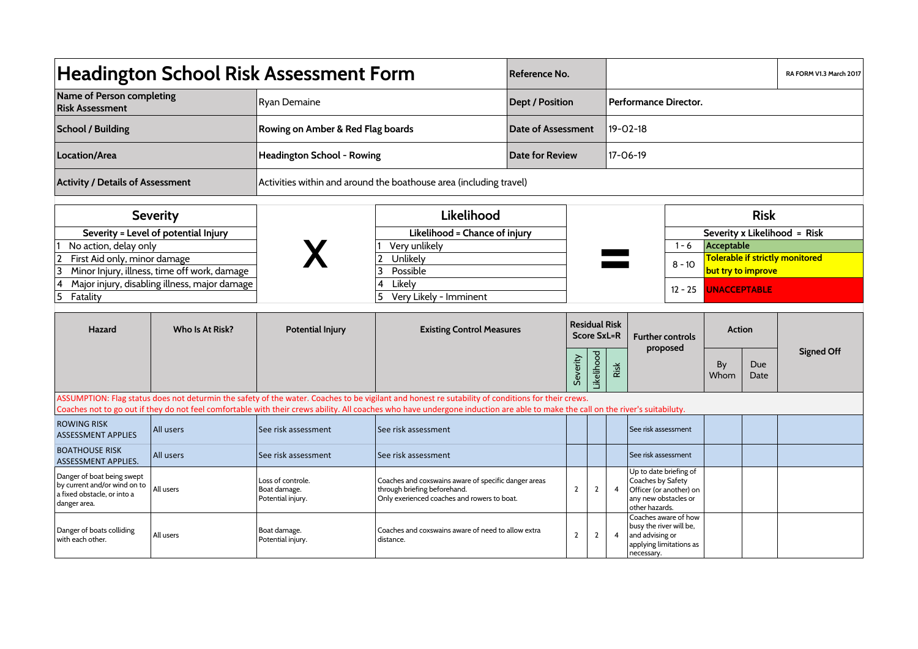| <b>Headington School Risk Assessment Form</b>                                                                                                                                                                                                                                                                                       |                                                                                |                                                                    |                                                                                                                                     | Reference No.                              |                |                |                                  |                                                                                                                  |                                                 |                                                       |             | RA FORM V1.3 March 2017 |  |
|-------------------------------------------------------------------------------------------------------------------------------------------------------------------------------------------------------------------------------------------------------------------------------------------------------------------------------------|--------------------------------------------------------------------------------|--------------------------------------------------------------------|-------------------------------------------------------------------------------------------------------------------------------------|--------------------------------------------|----------------|----------------|----------------------------------|------------------------------------------------------------------------------------------------------------------|-------------------------------------------------|-------------------------------------------------------|-------------|-------------------------|--|
| Name of Person completing<br><b>Risk Assessment</b>                                                                                                                                                                                                                                                                                 |                                                                                | Ryan Demaine                                                       |                                                                                                                                     | <b>Dept / Position</b>                     |                |                | Performance Director.            |                                                                                                                  |                                                 |                                                       |             |                         |  |
| <b>School / Building</b>                                                                                                                                                                                                                                                                                                            |                                                                                | Rowing on Amber & Red Flag boards                                  |                                                                                                                                     | <b>Date of Assessment</b>                  |                |                | 19-02-18                         |                                                                                                                  |                                                 |                                                       |             |                         |  |
| Location/Area                                                                                                                                                                                                                                                                                                                       |                                                                                | Headington School - Rowing                                         | Date for Review                                                                                                                     |                                            |                | 17-06-19       |                                  |                                                                                                                  |                                                 |                                                       |             |                         |  |
| <b>Activity / Details of Assessment</b>                                                                                                                                                                                                                                                                                             |                                                                                | Activities within and around the boathouse area (including travel) |                                                                                                                                     |                                            |                |                |                                  |                                                                                                                  |                                                 |                                                       |             |                         |  |
|                                                                                                                                                                                                                                                                                                                                     | <b>Severity</b>                                                                |                                                                    | Likelihood                                                                                                                          |                                            |                |                |                                  |                                                                                                                  | <b>Risk</b>                                     |                                                       |             |                         |  |
| Severity = Level of potential Injury                                                                                                                                                                                                                                                                                                |                                                                                |                                                                    | Likelihood = Chance of injury                                                                                                       |                                            |                |                |                                  | Severity x Likelihood = Risk                                                                                     |                                                 |                                                       |             |                         |  |
| No action, delay only                                                                                                                                                                                                                                                                                                               |                                                                                |                                                                    | Very unlikely                                                                                                                       |                                            |                |                |                                  |                                                                                                                  |                                                 | Acceptable                                            |             |                         |  |
| 2<br>First Aid only, minor damage<br>3                                                                                                                                                                                                                                                                                              |                                                                                |                                                                    | Unlikely<br>Possible<br>3                                                                                                           |                                            |                |                |                                  |                                                                                                                  | $8 - 10$                                        | Tolerable if strictly monitored<br>but try to improve |             |                         |  |
| Minor Injury, illness, time off work, damage<br>4<br>Major injury, disabling illness, major damage                                                                                                                                                                                                                                  |                                                                                | 4<br>Likely                                                        |                                                                                                                                     |                                            |                |                |                                  |                                                                                                                  |                                                 |                                                       |             |                         |  |
| 5<br>Fatality                                                                                                                                                                                                                                                                                                                       |                                                                                |                                                                    | Very Likely - Imminent<br>5                                                                                                         |                                            |                |                | $12 - 25$<br><b>UNACCEPTABLE</b> |                                                                                                                  |                                                 |                                                       |             |                         |  |
| Hazard                                                                                                                                                                                                                                                                                                                              | Who Is At Risk?<br><b>Potential Injury</b><br><b>Existing Control Measures</b> |                                                                    |                                                                                                                                     | <b>Residual Risk</b><br><b>Score SxL=R</b> |                |                |                                  |                                                                                                                  | <b>Further controls</b><br>proposed             | <b>Action</b>                                         |             |                         |  |
|                                                                                                                                                                                                                                                                                                                                     |                                                                                |                                                                    |                                                                                                                                     | Likelihood<br>Severity                     |                |                | Risk                             |                                                                                                                  |                                                 | By<br>Whom                                            | Due<br>Date | <b>Signed Off</b>       |  |
| ASSUMPTION: Flag status does not deturmin the safety of the water. Coaches to be vigilant and honest re sutability of conditions for their crews.<br>Coaches not to go out if they do not feel comfortable with their crews ability. All coaches who have undergone induction are able to make the call on the river's suitabiluty. |                                                                                |                                                                    |                                                                                                                                     |                                            |                |                |                                  |                                                                                                                  |                                                 |                                                       |             |                         |  |
| <b>ROWING RISK</b><br><b>ASSESSMENT APPLIES</b>                                                                                                                                                                                                                                                                                     | All users                                                                      | See risk assessment                                                | See risk assessment                                                                                                                 |                                            |                |                |                                  | See risk assessment                                                                                              |                                                 |                                                       |             |                         |  |
| <b>BOATHOUSE RISK</b><br>ASSESSMENT APPLIES.                                                                                                                                                                                                                                                                                        | All users                                                                      | See risk assessment                                                | See risk assessment                                                                                                                 |                                            |                |                |                                  | See risk assessment                                                                                              |                                                 |                                                       |             |                         |  |
| Danger of boat being swept<br>by current and/or wind on to<br>a fixed obstacle, or into a<br>danger area.                                                                                                                                                                                                                           | All users                                                                      | Loss of controle.<br>Boat damage.<br>Potential injury.             | Coaches and coxswains aware of specific danger areas<br>through briefing beforehand.<br>Only exerienced coaches and rowers to boat. |                                            | $\mathbf{2}$   | $\overline{2}$ | 4                                | Up to date briefing of<br>Coaches by Safety<br>Officer (or another) on<br>any new obstacles or<br>other hazards. |                                                 |                                                       |             |                         |  |
| Danger of boats colliding<br>with each other.                                                                                                                                                                                                                                                                                       | All users                                                                      | Boat damage.<br>Potential injury.                                  | Coaches and coxswains aware of need to allow extra<br>distance.                                                                     |                                            | $\overline{2}$ | $\overline{2}$ |                                  | busy the river will be,<br>and advising or<br>necessary.                                                         | Coaches aware of how<br>applying limitations as |                                                       |             |                         |  |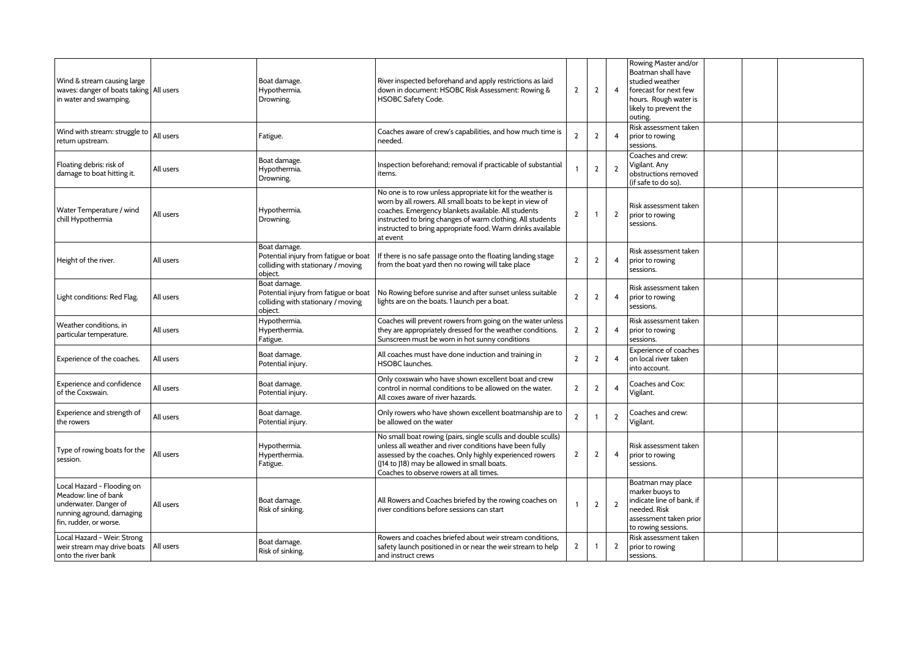| Wind & stream causing large<br>waves: danger of boats taking All users<br>in water and swamping.                                   |           | Boat damage.<br>Hypothermia.<br>Drowning.                                                              | River inspected beforehand and apply restrictions as laid<br>down in document: HSOBC Risk Assessment: Rowing &<br>HSOBC Safety Code.                                                                                                                                                                                    | $\overline{2}$ | $\overline{2}$ | $\overline{4}$ | Rowing Master and/or<br>Boatman shall have<br>studied weather<br>forecast for next few<br>hours. Rough water is<br>likely to prevent the<br>outing. |
|------------------------------------------------------------------------------------------------------------------------------------|-----------|--------------------------------------------------------------------------------------------------------|-------------------------------------------------------------------------------------------------------------------------------------------------------------------------------------------------------------------------------------------------------------------------------------------------------------------------|----------------|----------------|----------------|-----------------------------------------------------------------------------------------------------------------------------------------------------|
| Wind with stream: struggle to<br>return upstream.                                                                                  | All users | Fatigue.                                                                                               | Coaches aware of crew's capabilities, and how much time is<br>needed.                                                                                                                                                                                                                                                   | $\overline{2}$ | $\overline{2}$ | 4              | Risk assessment taken<br>prior to rowing<br>sessions.                                                                                               |
| Floating debris: risk of<br>damage to boat hitting it.                                                                             | All users | Boat damage.<br>Hypothermia.<br>Drowning.                                                              | Inspection beforehand; removal if practicable of substantial<br>items.                                                                                                                                                                                                                                                  |                | $\overline{2}$ | $\overline{2}$ | Coaches and crew:<br>Vigilant. Any<br>obstructions removed<br>(if safe to do so).                                                                   |
| Water Temperature / wind<br>chill Hypothermia                                                                                      | All users | Hypothermia.<br>Drowning.                                                                              | No one is to row unless appropriate kit for the weather is<br>worn by all rowers. All small boats to be kept in view of<br>coaches. Emergency blankets available. All students<br>instructed to bring changes of warm clothing. All students<br>instructed to bring appropriate food. Warm drinks available<br>at event | $\mathbf{2}$   | $\overline{1}$ | $\overline{2}$ | Risk assessment taken<br>prior to rowing<br>sessions.                                                                                               |
| Height of the river.                                                                                                               | All users | Boat damage.<br>Potential injury from fatigue or boat<br>colliding with stationary / moving<br>object. | f there is no safe passage onto the floating landing stage<br>from the boat yard then no rowing will take place                                                                                                                                                                                                         | $\overline{2}$ | $\overline{2}$ | 4              | Risk assessment taken<br>prior to rowing<br>sessions.                                                                                               |
| Light conditions: Red Flag.                                                                                                        | All users | Boat damage.<br>Potential injury from fatigue or boat<br>colliding with stationary / moving<br>object. | No Rowing before sunrise and after sunset unless suitable<br>lights are on the boats. 1 launch per a boat.                                                                                                                                                                                                              | $\overline{2}$ | $\overline{2}$ | $\overline{4}$ | Risk assessment taken<br>prior to rowing<br>sessions.                                                                                               |
| Weather conditions, in<br>particular temperature.                                                                                  | All users | Hypothermia.<br>Hyperthermia.<br>Fatigue.                                                              | Coaches will prevent rowers from going on the water unless<br>they are appropriately dressed for the weather conditions.<br>Sunscreen must be worn in hot sunny conditions                                                                                                                                              | $\overline{2}$ | $\overline{2}$ | 4              | Risk assessment taken<br>prior to rowing<br>sessions.                                                                                               |
| Experience of the coaches.                                                                                                         | All users | Boat damage.<br>Potential injury.                                                                      | All coaches must have done induction and training in<br><b>HSOBC</b> launches.                                                                                                                                                                                                                                          | $\overline{2}$ | $\overline{2}$ | 4              | Experience of coaches<br>on local river taken<br>into account.                                                                                      |
| Experience and confidence<br>of the Coxswain.                                                                                      | All users | Boat damage.<br>Potential injury.                                                                      | Only coxswain who have shown excellent boat and crew<br>control in normal conditions to be allowed on the water.<br>All coxes aware of river hazards.                                                                                                                                                                   | $\overline{2}$ | $\overline{2}$ | 4              | Coaches and Cox:<br>Vigilant.                                                                                                                       |
| Experience and strength of<br>the rowers                                                                                           | All users | Boat damage.<br>Potential injury.                                                                      | Only rowers who have shown excellent boatmanship are to<br>be allowed on the water                                                                                                                                                                                                                                      | $\overline{2}$ | $\overline{1}$ | $\mathbf{2}$   | Coaches and crew:<br>Vigilant.                                                                                                                      |
| Type of rowing boats for the<br>session.                                                                                           | All users | Hypothermia.<br>Hyperthermia.<br>Fatigue.                                                              | No small boat rowing (pairs, single sculls and double sculls)<br>unless all weather and river conditions have been fully<br>assessed by the coaches. Only highly experienced rowers<br>([14 to [18] may be allowed in small boats.<br>Coaches to observe rowers at all times.                                           | $\mathbf{2}$   | $\overline{2}$ | 4              | Risk assessment taken<br>prior to rowing<br>sessions.                                                                                               |
| Local Hazard - Flooding on<br>Meadow: line of bank<br>underwater. Danger of<br>running aground, damaging<br>fin, rudder, or worse. | All users | Boat damage.<br>Risk of sinking.                                                                       | All Rowers and Coaches briefed by the rowing coaches on<br>river conditions before sessions can start                                                                                                                                                                                                                   |                | $\overline{2}$ | $\overline{2}$ | Boatman may place<br>marker buoys to<br>indicate line of bank. if<br>needed. Risk<br>assessment taken prior<br>to rowing sessions.                  |
| Local Hazard - Weir: Strong<br>weir stream may drive boats<br>onto the river bank                                                  | All users | Boat damage.<br>Risk of sinking.                                                                       | Rowers and coaches briefed about weir stream conditions,<br>safety launch positioned in or near the weir stream to help<br>and instruct crews                                                                                                                                                                           | $\mathbf{2}$   | -1             | $\overline{2}$ | Risk assessment taken<br>prior to rowing<br>sessions.                                                                                               |